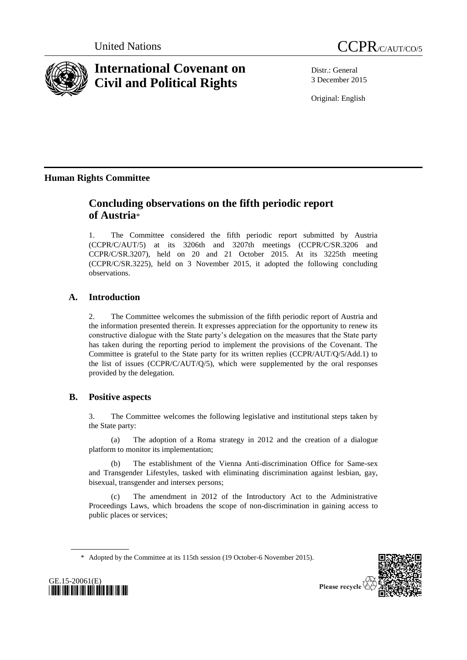



# **International Covenant on Civil and Political Rights**

Distr.: General 3 December 2015

Original: English

## **Human Rights Committee**

## **Concluding observations on the fifth periodic report of Austria**\*

1. The Committee considered the fifth periodic report submitted by Austria (CCPR/C/AUT/5) at its 3206th and 3207th meetings (CCPR/C/SR.3206 and CCPR/C/SR.3207), held on 20 and 21 October 2015. At its 3225th meeting (CCPR/C/SR.3225), held on 3 November 2015, it adopted the following concluding observations.

## **A. Introduction**

2. The Committee welcomes the submission of the fifth periodic report of Austria and the information presented therein. It expresses appreciation for the opportunity to renew its constructive dialogue with the State party's delegation on the measures that the State party has taken during the reporting period to implement the provisions of the Covenant. The Committee is grateful to the State party for its written replies (CCPR/AUT/Q/5/Add.1) to the list of issues (CCPR/C/AUT/Q/5), which were supplemented by the oral responses provided by the delegation.

## **B. Positive aspects**

3. The Committee welcomes the following legislative and institutional steps taken by the State party:

(a) The adoption of a Roma strategy in 2012 and the creation of a dialogue platform to monitor its implementation;

(b) The establishment of the Vienna Anti-discrimination Office for Same-sex and Transgender Lifestyles, tasked with eliminating discrimination against lesbian, gay, bisexual, transgender and intersex persons;

(c) The amendment in 2012 of the Introductory Act to the Administrative Proceedings Laws, which broadens the scope of non-discrimination in gaining access to public places or services;

\* Adopted by the Committee at its 115th session (19 October-6 November 2015).



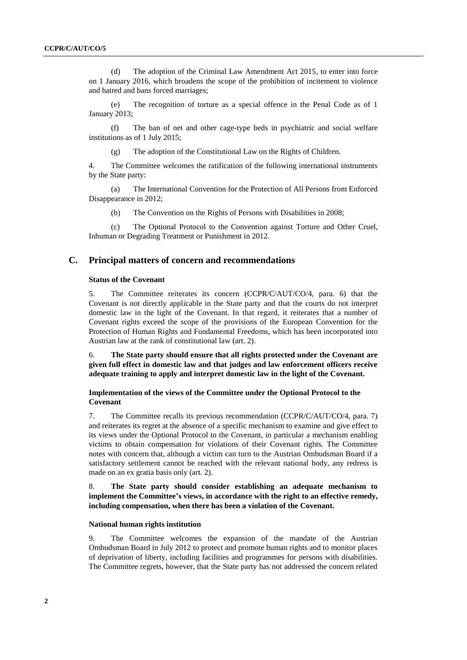(d) The adoption of the Criminal Law Amendment Act 2015, to enter into force on 1 January 2016, which broadens the scope of the prohibition of incitement to violence and hatred and bans forced marriages;

(e) The recognition of torture as a special offence in the Penal Code as of 1 January 2013;

(f) The ban of net and other cage-type beds in psychiatric and social welfare institutions as of 1 July 2015;

(g) The adoption of the Constitutional Law on the Rights of Children.

4. The Committee welcomes the ratification of the following international instruments by the State party:

(a) The International Convention for the Protection of All Persons from Enforced Disappearance in 2012;

(b) The Convention on the Rights of Persons with Disabilities in 2008;

(c) The Optional Protocol to the Convention against Torture and Other Cruel, Inhuman or Degrading Treatment or Punishment in 2012.

### **C. Principal matters of concern and recommendations**

#### **Status of the Covenant**

5. The Committee reiterates its concern (CCPR/C/AUT/CO/4, para. 6) that the Covenant is not directly applicable in the State party and that the courts do not interpret domestic law in the light of the Covenant. In that regard, it reiterates that a number of Covenant rights exceed the scope of the provisions of the European Convention for the Protection of Human Rights and Fundamental Freedoms, which has been incorporated into Austrian law at the rank of constitutional law (art. 2).

6. **The State party should ensure that all rights protected under the Covenant are given full effect in domestic law and that judges and law enforcement officers receive adequate training to apply and interpret domestic law in the light of the Covenant.**

### **Implementation of the views of the Committee under the Optional Protocol to the Covenant**

7. The Committee recalls its previous recommendation (CCPR/C/AUT/CO/4, para. 7) and reiterates its regret at the absence of a specific mechanism to examine and give effect to its views under the Optional Protocol to the Covenant, in particular a mechanism enabling victims to obtain compensation for violations of their Covenant rights. The Committee notes with concern that, although a victim can turn to the Austrian Ombudsman Board if a satisfactory settlement cannot be reached with the relevant national body, any redress is made on an ex gratia basis only (art. 2).

## 8. **The State party should consider establishing an adequate mechanism to implement the Committee's views, in accordance with the right to an effective remedy, including compensation, when there has been a violation of the Covenant.**

#### **National human rights institution**

9. The Committee welcomes the expansion of the mandate of the Austrian Ombudsman Board in July 2012 to protect and promote human rights and to monitor places of deprivation of liberty, including facilities and programmes for persons with disabilities. The Committee regrets, however, that the State party has not addressed the concern related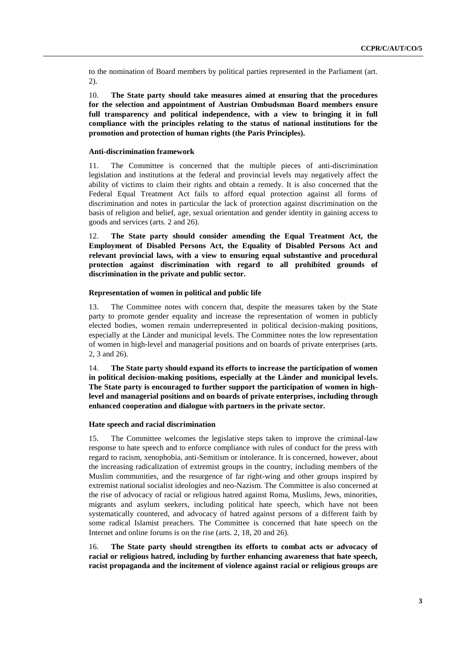to the nomination of Board members by political parties represented in the Parliament (art. 2).

10. **The State party should take measures aimed at ensuring that the procedures for the selection and appointment of Austrian Ombudsman Board members ensure full transparency and political independence, with a view to bringing it in full compliance with the principles relating to the status of national institutions for the promotion and protection of human rights (the Paris Principles).**

#### **Anti-discrimination framework**

11. The Committee is concerned that the multiple pieces of anti-discrimination legislation and institutions at the federal and provincial levels may negatively affect the ability of victims to claim their rights and obtain a remedy. It is also concerned that the Federal Equal Treatment Act fails to afford equal protection against all forms of discrimination and notes in particular the lack of protection against discrimination on the basis of religion and belief, age, sexual orientation and gender identity in gaining access to goods and services (arts. 2 and 26).

12. **The State party should consider amending the Equal Treatment Act, the Employment of Disabled Persons Act, the Equality of Disabled Persons Act and relevant provincial laws, with a view to ensuring equal substantive and procedural protection against discrimination with regard to all prohibited grounds of discrimination in the private and public sector.** 

#### **Representation of women in political and public life**

13. The Committee notes with concern that, despite the measures taken by the State party to promote gender equality and increase the representation of women in publicly elected bodies, women remain underrepresented in political decision-making positions, especially at the Länder and municipal levels. The Committee notes the low representation of women in high-level and managerial positions and on boards of private enterprises (arts. 2, 3 and 26).

14. **The State party should expand its efforts to increase the participation of women in political decision-making positions, especially at the Länder and municipal levels. The State party is encouraged to further support the participation of women in highlevel and managerial positions and on boards of private enterprises, including through enhanced cooperation and dialogue with partners in the private sector.**

#### **Hate speech and racial discrimination**

15. The Committee welcomes the legislative steps taken to improve the criminal-law response to hate speech and to enforce compliance with rules of conduct for the press with regard to racism, xenophobia, anti-Semitism or intolerance. It is concerned, however, about the increasing radicalization of extremist groups in the country, including members of the Muslim communities, and the resurgence of far right-wing and other groups inspired by extremist national socialist ideologies and neo-Nazism. The Committee is also concerned at the rise of advocacy of racial or religious hatred against Roma, Muslims, Jews, minorities, migrants and asylum seekers, including political hate speech, which have not been systematically countered, and advocacy of hatred against persons of a different faith by some radical Islamist preachers. The Committee is concerned that hate speech on the Internet and online forums is on the rise (arts. 2, 18, 20 and 26).

16. **The State party should strengthen its efforts to combat acts or advocacy of racial or religious hatred, including by further enhancing awareness that hate speech, racist propaganda and the incitement of violence against racial or religious groups are**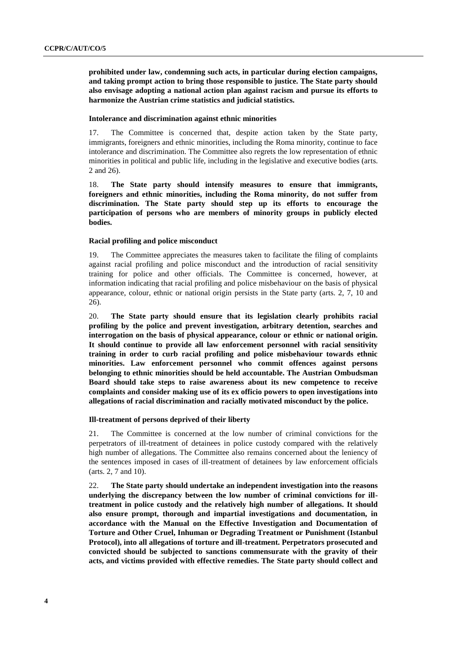**prohibited under law, condemning such acts, in particular during election campaigns, and taking prompt action to bring those responsible to justice. The State party should also envisage adopting a national action plan against racism and pursue its efforts to harmonize the Austrian crime statistics and judicial statistics.** 

#### **Intolerance and discrimination against ethnic minorities**

17. The Committee is concerned that, despite action taken by the State party, immigrants, foreigners and ethnic minorities, including the Roma minority, continue to face intolerance and discrimination. The Committee also regrets the low representation of ethnic minorities in political and public life, including in the legislative and executive bodies (arts. 2 and 26).

18. **The State party should intensify measures to ensure that immigrants, foreigners and ethnic minorities, including the Roma minority, do not suffer from discrimination. The State party should step up its efforts to encourage the participation of persons who are members of minority groups in publicly elected bodies.** 

#### **Racial profiling and police misconduct**

19. The Committee appreciates the measures taken to facilitate the filing of complaints against racial profiling and police misconduct and the introduction of racial sensitivity training for police and other officials. The Committee is concerned, however, at information indicating that racial profiling and police misbehaviour on the basis of physical appearance, colour, ethnic or national origin persists in the State party (arts. 2, 7, 10 and 26).

20. **The State party should ensure that its legislation clearly prohibits racial profiling by the police and prevent investigation, arbitrary detention, searches and interrogation on the basis of physical appearance, colour or ethnic or national origin. It should continue to provide all law enforcement personnel with racial sensitivity training in order to curb racial profiling and police misbehaviour towards ethnic minorities. Law enforcement personnel who commit offences against persons belonging to ethnic minorities should be held accountable. The Austrian Ombudsman Board should take steps to raise awareness about its new competence to receive complaints and consider making use of its ex officio powers to open investigations into allegations of racial discrimination and racially motivated misconduct by the police.**

#### **Ill-treatment of persons deprived of their liberty**

21. The Committee is concerned at the low number of criminal convictions for the perpetrators of ill-treatment of detainees in police custody compared with the relatively high number of allegations. The Committee also remains concerned about the leniency of the sentences imposed in cases of ill-treatment of detainees by law enforcement officials (arts. 2, 7 and 10).

22. **The State party should undertake an independent investigation into the reasons underlying the discrepancy between the low number of criminal convictions for illtreatment in police custody and the relatively high number of allegations. It should also ensure prompt, thorough and impartial investigations and documentation, in accordance with the Manual on the Effective Investigation and Documentation of Torture and Other Cruel, Inhuman or Degrading Treatment or Punishment (Istanbul Protocol), into all allegations of torture and ill-treatment. Perpetrators prosecuted and convicted should be subjected to sanctions commensurate with the gravity of their acts, and victims provided with effective remedies. The State party should collect and**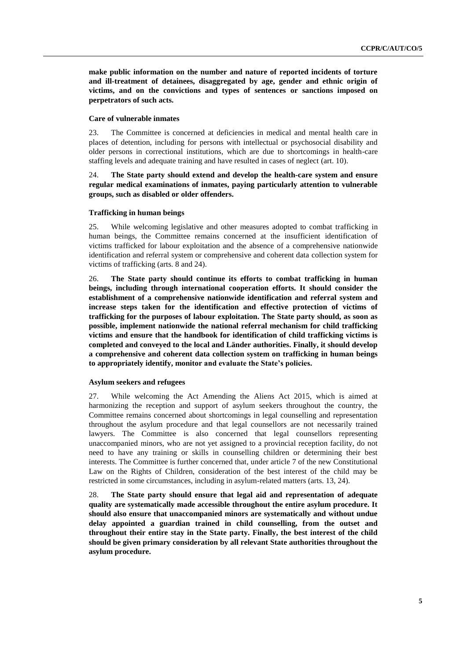**make public information on the number and nature of reported incidents of torture and ill-treatment of detainees, disaggregated by age, gender and ethnic origin of victims, and on the convictions and types of sentences or sanctions imposed on perpetrators of such acts.**

#### **Care of vulnerable inmates**

23. The Committee is concerned at deficiencies in medical and mental health care in places of detention, including for persons with intellectual or psychosocial disability and older persons in correctional institutions, which are due to shortcomings in health-care staffing levels and adequate training and have resulted in cases of neglect (art. 10).

## 24. **The State party should extend and develop the health-care system and ensure regular medical examinations of inmates, paying particularly attention to vulnerable groups, such as disabled or older offenders.**

#### **Trafficking in human beings**

25. While welcoming legislative and other measures adopted to combat trafficking in human beings, the Committee remains concerned at the insufficient identification of victims trafficked for labour exploitation and the absence of a comprehensive nationwide identification and referral system or comprehensive and coherent data collection system for victims of trafficking (arts. 8 and 24).

26. **The State party should continue its efforts to combat trafficking in human beings, including through international cooperation efforts. It should consider the establishment of a comprehensive nationwide identification and referral system and increase steps taken for the identification and effective protection of victims of trafficking for the purposes of labour exploitation. The State party should, as soon as possible, implement nationwide the national referral mechanism for child trafficking victims and ensure that the handbook for identification of child trafficking victims is completed and conveyed to the local and Länder authorities. Finally, it should develop a comprehensive and coherent data collection system on trafficking in human beings to appropriately identify, monitor and evaluate the State's policies.**

#### **Asylum seekers and refugees**

27. While welcoming the Act Amending the Aliens Act 2015, which is aimed at harmonizing the reception and support of asylum seekers throughout the country, the Committee remains concerned about shortcomings in legal counselling and representation throughout the asylum procedure and that legal counsellors are not necessarily trained lawyers. The Committee is also concerned that legal counsellors representing unaccompanied minors, who are not yet assigned to a provincial reception facility, do not need to have any training or skills in counselling children or determining their best interests. The Committee is further concerned that, under article 7 of the new Constitutional Law on the Rights of Children, consideration of the best interest of the child may be restricted in some circumstances, including in asylum-related matters (arts. 13, 24).

28. **The State party should ensure that legal aid and representation of adequate quality are systematically made accessible throughout the entire asylum procedure. It should also ensure that unaccompanied minors are systematically and without undue delay appointed a guardian trained in child counselling, from the outset and throughout their entire stay in the State party. Finally, the best interest of the child should be given primary consideration by all relevant State authorities throughout the asylum procedure.**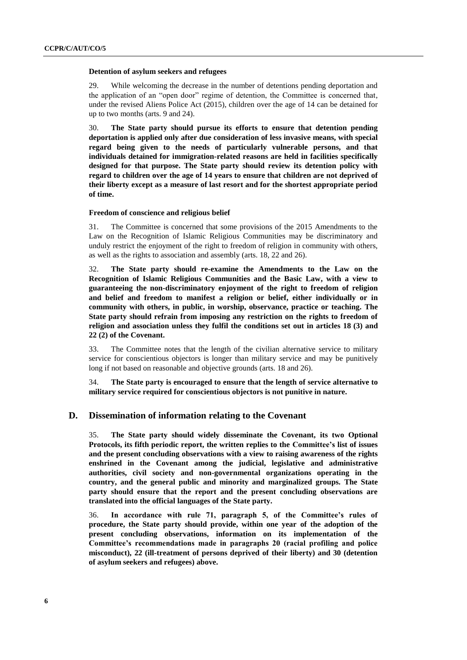#### **Detention of asylum seekers and refugees**

29. While welcoming the decrease in the number of detentions pending deportation and the application of an "open door" regime of detention, the Committee is concerned that, under the revised Aliens Police Act (2015), children over the age of 14 can be detained for up to two months (arts. 9 and 24).

30. **The State party should pursue its efforts to ensure that detention pending deportation is applied only after due consideration of less invasive means, with special regard being given to the needs of particularly vulnerable persons, and that individuals detained for immigration-related reasons are held in facilities specifically designed for that purpose. The State party should review its detention policy with regard to children over the age of 14 years to ensure that children are not deprived of their liberty except as a measure of last resort and for the shortest appropriate period of time.**

#### **Freedom of conscience and religious belief**

31. The Committee is concerned that some provisions of the 2015 Amendments to the Law on the Recognition of Islamic Religious Communities may be discriminatory and unduly restrict the enjoyment of the right to freedom of religion in community with others, as well as the rights to association and assembly (arts. 18, 22 and 26).

32. **The State party should re-examine the Amendments to the Law on the Recognition of Islamic Religious Communities and the Basic Law, with a view to guaranteeing the non-discriminatory enjoyment of the right to freedom of religion and belief and freedom to manifest a religion or belief, either individually or in community with others, in public, in worship, observance, practice or teaching. The State party should refrain from imposing any restriction on the rights to freedom of religion and association unless they fulfil the conditions set out in articles 18 (3) and 22 (2) of the Covenant.** 

33. The Committee notes that the length of the civilian alternative service to military service for conscientious objectors is longer than military service and may be punitively long if not based on reasonable and objective grounds (arts. 18 and 26).

34. **The State party is encouraged to ensure that the length of service alternative to military service required for conscientious objectors is not punitive in nature.** 

### **D. Dissemination of information relating to the Covenant**

35. **The State party should widely disseminate the Covenant, its two Optional Protocols, its fifth periodic report, the written replies to the Committee's list of issues and the present concluding observations with a view to raising awareness of the rights enshrined in the Covenant among the judicial, legislative and administrative authorities, civil society and non-governmental organizations operating in the country, and the general public and minority and marginalized groups. The State party should ensure that the report and the present concluding observations are translated into the official languages of the State party.**

36. **In accordance with rule 71, paragraph 5, of the Committee's rules of procedure, the State party should provide, within one year of the adoption of the present concluding observations, information on its implementation of the Committee's recommendations made in paragraphs 20 (racial profiling and police misconduct), 22 (ill-treatment of persons deprived of their liberty) and 30 (detention of asylum seekers and refugees) above.**